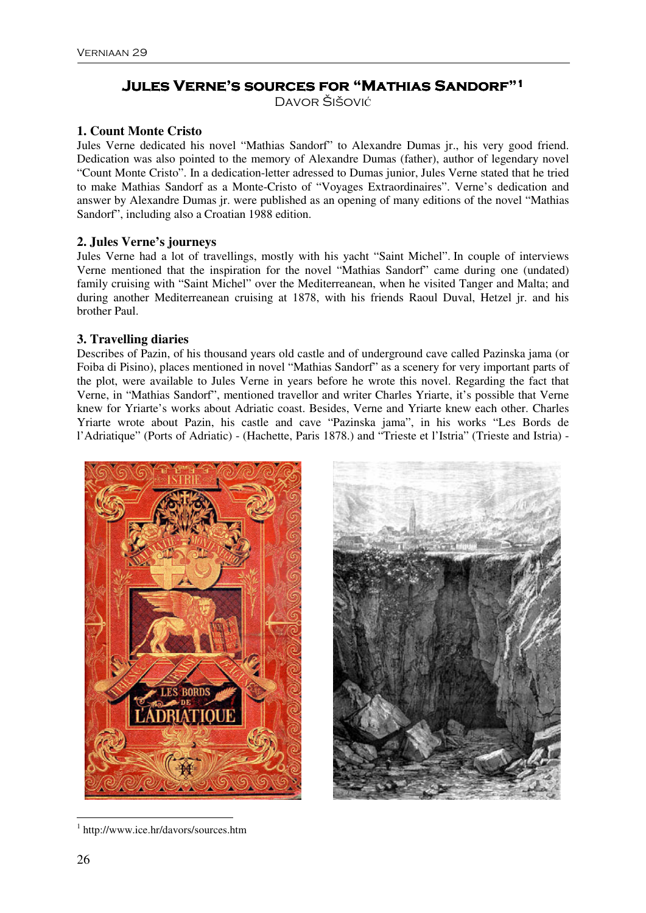# **Jules Verne's sources for "Mathias Sandorf" Jules Sandorf"1**

DAVOR ŠIŠOVIĆ

## **1. Count Monte Cristo**

Jules Verne dedicated his novel "Mathias Sandorf" to Alexandre Dumas jr., his very good friend. Dedication was also pointed to the memory of Alexandre Dumas (father), author of legendary novel "Count Monte Cristo". In a dedication-letter adressed to Dumas junior, Jules Verne stated that he tried to make Mathias Sandorf as a Monte-Cristo of "Voyages Extraordinaires". Verne's dedication and answer by Alexandre Dumas jr. were published as an opening of many editions of the novel "Mathias Sandorf", including also a Croatian 1988 edition.

## **2. Jules Verne's journeys**

Jules Verne had a lot of travellings, mostly with his yacht "Saint Michel". In couple of interviews Verne mentioned that the inspiration for the novel "Mathias Sandorf" came during one (undated) family cruising with "Saint Michel" over the Mediterreanean, when he visited Tanger and Malta; and during another Mediterreanean cruising at 1878, with his friends Raoul Duval, Hetzel jr. and his brother Paul.

### **3. Travelling diaries**

Describes of Pazin, of his thousand years old castle and of underground cave called Pazinska jama (or Foiba di Pisino), places mentioned in novel "Mathias Sandorf" as a scenery for very important parts of the plot, were available to Jules Verne in years before he wrote this novel. Regarding the fact that Verne, in "Mathias Sandorf", mentioned travellor and writer Charles Yriarte, it's possible that Verne knew for Yriarte's works about Adriatic coast. Besides, Verne and Yriarte knew each other. Charles Yriarte wrote about Pazin, his castle and cave "Pazinska jama", in his works "Les Bords de l'Adriatique" (Ports of Adriatic) - (Hachette, Paris 1878.) and "Trieste et l'Istria" (Trieste and Istria) -